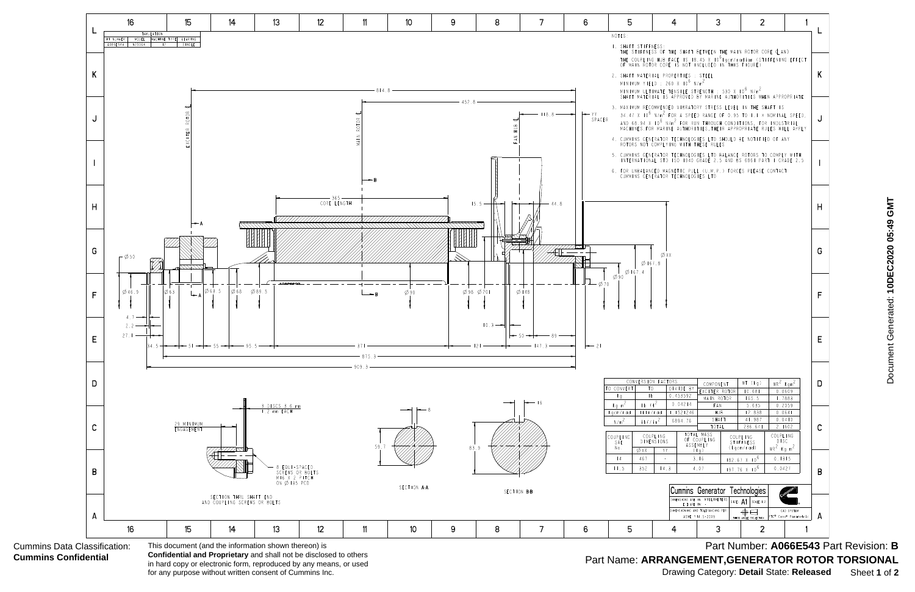| 5                                                                                              |                                           |                        | 4                                                                                                                                                                                                                                                                                                                             | 3                                               |          | 2                                                 |                                                       | 1                          |   |
|------------------------------------------------------------------------------------------------|-------------------------------------------|------------------------|-------------------------------------------------------------------------------------------------------------------------------------------------------------------------------------------------------------------------------------------------------------------------------------------------------------------------------|-------------------------------------------------|----------|---------------------------------------------------|-------------------------------------------------------|----------------------------|---|
| NOTES:                                                                                         |                                           |                        |                                                                                                                                                                                                                                                                                                                               |                                                 |          |                                                   |                                                       |                            |   |
|                                                                                                | I. SHAFT STIFFNESS:                       |                        | THE STIFFNESS OF THE SHAFT BETWEEN THE MAIN ROTOR CORE ¢ AND<br>THE COUPLING HUB FACE IS 18.45 X 10 <sup>6</sup> kgcm/radian (STIFFENING EFFECT<br>OF MAIN ROTOR CORE IS NOT INCLUDED IN THIS FIGURE)                                                                                                                         |                                                 |          |                                                   |                                                       |                            |   |
|                                                                                                |                                           |                        | 2. SHAFT MATERIAL PROPERTIES : STEEL<br>MINIMUM YIELD : 260 X $10^6$ N/m <sup>2</sup><br>MINIMUM ULTIMATE TENSILE STRENGTH : 530 X 10 <sup>6</sup> N/m <sup>2</sup><br>SHAFT MATERIAL IS APPROVED BY MARINE AUTHORITIES WHEN APPROPRIATE                                                                                      |                                                 |          |                                                   |                                                       |                            | K |
|                                                                                                |                                           |                        | 3. MAXIMUM RECOMMENDED VIBRATORY STRESS LEVEL IN THE SHAFT IS<br>34.47 X 10 <sup>6</sup> N/m <sup>2</sup> FOR A SPEED RANGE OF 0.95 TO 1.1 x NOMINAL SPEED,<br>AND 68.94 X 10 <sup>6</sup> N/m <sup>2</sup> FOR RUN THROUGH CONDITIONS, FOR INDUSTRIAL<br>MACHINES.FOR MARINE AUTHORITIES, THEIR APPROPRIATE RULES WILL APPLY |                                                 |          |                                                   |                                                       |                            |   |
|                                                                                                |                                           |                        | 4. CUMMINS GENERATOR TECHNOLOGIES LTD SHOULD BE NOTIFIED OF ANY<br>ROTORS NOT COMPLYING WITH THESE RULES                                                                                                                                                                                                                      |                                                 |          |                                                   |                                                       |                            |   |
|                                                                                                |                                           |                        | 5. CUMMINS GENERATOR TECHNOLOGIES LTD BALANCE ROTORS TO COMPLY WITH<br>INTERNATIONAL STD ISO 1940 GRADE 2.5 AND BS 6861 PART I GRADE 2.5<br>6. FOR UNBALANCED MAGNETIC PULL (U.M.P.) FORCES PLEASE CONTACT<br>CUMMINS GENERATOR TECHNOLOGIES LTD                                                                              |                                                 |          |                                                   |                                                       |                            |   |
|                                                                                                |                                           |                        |                                                                                                                                                                                                                                                                                                                               |                                                 |          |                                                   |                                                       |                            | н |
|                                                                                                | Ø167.8<br>Ø167.4                          | ØXX                    |                                                                                                                                                                                                                                                                                                                               |                                                 |          |                                                   |                                                       |                            | G |
| $\varnothing$ 90                                                                               |                                           |                        |                                                                                                                                                                                                                                                                                                                               |                                                 |          |                                                   |                                                       |                            | F |
|                                                                                                |                                           |                        |                                                                                                                                                                                                                                                                                                                               |                                                 |          |                                                   |                                                       |                            | E |
|                                                                                                |                                           |                        |                                                                                                                                                                                                                                                                                                                               |                                                 |          |                                                   |                                                       |                            |   |
| CONVERSION FACTORS<br>CONVERT<br>T0<br>I b<br>Κg<br>$\frac{1}{b}$ f + 2<br>$Kg$ m <sup>2</sup> |                                           |                        | DIVIDE BY<br>0.453592<br>0.04214                                                                                                                                                                                                                                                                                              | COMPONENT<br>EXCITER ROTOR<br>MAIN ROTOR<br>FAN |          | WT (kg)<br>10.681<br>165.5<br>5.635               | $WR^2$ Kgm <sup>2</sup><br>0.0609<br>1.7883<br>0.2059 |                            | D |
| gcm∕rad                                                                                        | lbin/rad                                  |                        | 1.1521246                                                                                                                                                                                                                                                                                                                     | HUB                                             |          | 12.838                                            | 0.0641                                                |                            |   |
| $N/m^2$                                                                                        | $\frac{i \, b \, f / i \, n^2}{\sqrt{2}}$ |                        | 6894.76                                                                                                                                                                                                                                                                                                                       | SHAFT<br>TOTAL                                  |          | 41.987<br>236.641                                 | 0.0410<br>2.1602                                      |                            |   |
| OUPLING<br>SAE<br>Νo.                                                                          |                                           | COUPLING<br>DIMENSIONS |                                                                                                                                                                                                                                                                                                                               | TOTAL MASS<br>OF COUPLING<br>ASSEMBLY           |          | <b>COUPLING</b><br><b>STIFFNESS</b><br>(kgcm/rad) | <b>COUPLING</b><br>DISC                               |                            |   |
| 4                                                                                              | ØXX<br>467                                | YΥ                     |                                                                                                                                                                                                                                                                                                                               | (kg)<br>3.16                                    |          | $182.67 X 10^{6}$                                 | $WR^2$ Kg m <sup>2</sup><br>0.1315                    |                            |   |
| 11.5                                                                                           | 352                                       | 14.3                   |                                                                                                                                                                                                                                                                                                                               | 4.07                                            |          | $197.76 \times 10^6$                              | 0.0427                                                |                            | в |
|                                                                                                |                                           |                        |                                                                                                                                                                                                                                                                                                                               |                                                 |          |                                                   |                                                       |                            |   |
|                                                                                                |                                           |                        | <b>Cummins Generator Technologies</b><br>DIMENSIONS ARE IN: MILLIMETERS                                                                                                                                                                                                                                                       |                                                 |          | SCALE:1:2                                         |                                                       |                            |   |
|                                                                                                |                                           |                        | [ ] ARE IN: -<br>DIMENSIONING AND TOLERANCING PER:                                                                                                                                                                                                                                                                            |                                                 | SIZE: A1 | ⊕∈                                                |                                                       | CAD SYSTEM                 |   |
| 5                                                                                              |                                           |                        | 4                                                                                                                                                                                                                                                                                                                             | ASME Y14.5-2009<br>З                            |          | THIRD ANGLE PROJECTION<br>2                       |                                                       | PTC® Creo® Parametric<br>1 | А |



Document Generated: 10DEC2020 05:49 GMT Document Generated: **10DEC2020 05:49 GMT**

Part Number: A066E543 Part Revision: **B** Part Name: **ARRANGEMENT,GENERATOR ROTOR TORSIONAL** Drawing Category: **Detail** State: **Released** Sheet **1** of **2**

## Cummins Data Classification: **Cummins Confidential**

**Confidential and Proprietary** and shall not be disclosed to others in hard copy or electronic form, reproduced by any means, or used for any purpose without written consent of Cummins Inc.